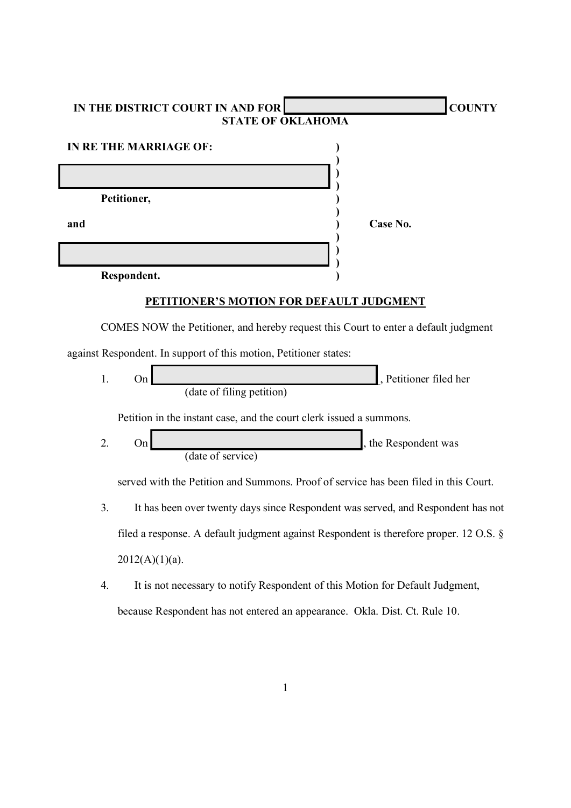|                                                                                     | IN THE DISTRICT COURT IN AND FOR                                                       |                                                                                  | <b>COUNTY</b> |  |  |  |
|-------------------------------------------------------------------------------------|----------------------------------------------------------------------------------------|----------------------------------------------------------------------------------|---------------|--|--|--|
| <b>STATE OF OKLAHOMA</b>                                                            |                                                                                        |                                                                                  |               |  |  |  |
| <b>IN RE THE MARRIAGE OF:</b>                                                       |                                                                                        |                                                                                  |               |  |  |  |
|                                                                                     |                                                                                        |                                                                                  |               |  |  |  |
|                                                                                     | Petitioner,                                                                            |                                                                                  |               |  |  |  |
| and                                                                                 |                                                                                        | Case No.                                                                         |               |  |  |  |
|                                                                                     |                                                                                        |                                                                                  |               |  |  |  |
|                                                                                     |                                                                                        |                                                                                  |               |  |  |  |
|                                                                                     | Respondent.                                                                            |                                                                                  |               |  |  |  |
| <b>PETITIONER'S MOTION FOR DEFAULT JUDGMENT</b>                                     |                                                                                        |                                                                                  |               |  |  |  |
| COMES NOW the Petitioner, and hereby request this Court to enter a default judgment |                                                                                        |                                                                                  |               |  |  |  |
|                                                                                     | against Respondent. In support of this motion, Petitioner states:                      |                                                                                  |               |  |  |  |
| 1.                                                                                  | On<br>(date of filing petition)                                                        | Petitioner filed her                                                             |               |  |  |  |
|                                                                                     | Petition in the instant case, and the court clerk issued a summons.                    |                                                                                  |               |  |  |  |
| 2.                                                                                  | On<br>(date of service)                                                                | the Respondent was                                                               |               |  |  |  |
|                                                                                     | served with the Petition and Summons. Proof of service has been filed in this Court.   |                                                                                  |               |  |  |  |
| 3.                                                                                  |                                                                                        | It has been over twenty days since Respondent was served, and Respondent has not |               |  |  |  |
|                                                                                     | filed a response. A default judgment against Respondent is therefore proper. 12 O.S. § |                                                                                  |               |  |  |  |
|                                                                                     | $2012(A)(1)(a)$ .                                                                      |                                                                                  |               |  |  |  |
| 4.                                                                                  |                                                                                        | It is not necessary to notify Respondent of this Motion for Default Judgment,    |               |  |  |  |
|                                                                                     | because Respondent has not entered an appearance. Okla. Dist. Ct. Rule 10.             |                                                                                  |               |  |  |  |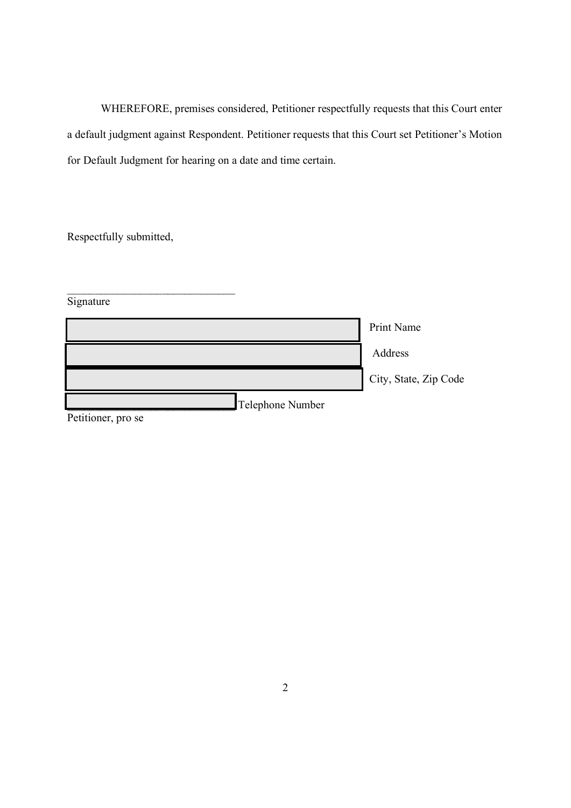WHEREFORE, premises considered, Petitioner respectfully requests that this Court enter a default judgment against Respondent. Petitioner requests that this Court set Petitioner's Motion for Default Judgment for hearing on a date and time certain.

Respectfully submitted,

\_\_\_\_\_\_\_\_\_\_\_\_\_\_\_\_\_\_\_\_\_\_\_\_\_\_\_\_\_\_

| Signature          |                       |
|--------------------|-----------------------|
|                    | Print Name            |
|                    | Address               |
|                    | City, State, Zip Code |
| Telephone Number   |                       |
| Petitioner, pro se |                       |